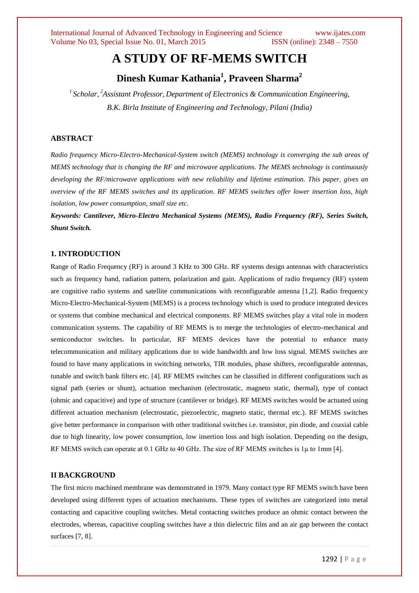# **A STUDY OF RF-MEMS SWITCH**

# **Dinesh Kumar Kathania<sup>1</sup> , Praveen Sharma<sup>2</sup>**

*1 Scholar, <sup>2</sup>Assistant Professor, Department of Electronics & Communication Engineering, B.K. Birla Institute of Engineering and Technology, Pilani (India)*

# **ABSTRACT**

*Radio frequency Micro-Electro-Mechanical-System switch (MEMS) technology is converging the sub areas of MEMS technology that is changing the RF and microwave applications. The MEMS technology is continuously developing the RF/microwave applications with new reliability and lifetime estimation. This paper, gives an overview of the RF MEMS switches and its application. RF MEMS switches offer lower insertion loss, high isolation, low power consumption, small size etc.*

*Keywords: Cantilever, Micro-Electro Mechanical Systems (MEMS), Radio Frequency (RF), Series Switch, Shunt Switch.* 

### **1. INTRODUCTION**

Range of Radio Frequency (RF) is around 3 KHz to 300 GHz. RF systems design antennas with characteristics such as frequency band, radiation pattern, polarization and gain. Applications of radio frequency (RF) system are cognitive radio systems and satellite communications with reconfigurable antenna [1,2]. Radio frequency Micro-Electro-Mechanical-System (MEMS) is a process technology which is used to produce integrated devices or systems that combine mechanical and electrical components. RF MEMS switches play a vital role in modern communication systems. The capability of RF MEMS is to merge the technologies of electro-mechanical and semiconductor switches. In particular, RF MEMS devices have the potential to enhance many telecommunication and military applications due to wide bandwidth and low loss signal. MEMS switches are found to have many applications in switching networks, TIR modules, phase shifters, reconfigurable antennas, tunable and switch bank filters etc. [4]. RF MEMS switches can be classified in different configurations such as signal path (series or shunt), actuation mechanism (electrostatic, magneto static, thermal), type of contact (ohmic and capacitive) and type of structure (cantilever or bridge). RF MEMS switches would be actuated using different actuation mechanism (electrostatic, piezoelectric, magneto static, thermal etc.). RF MEMS switches give better performance in comparison with other traditional switches i.e. transistor, pin diode, and coaxial cable due to high linearity, low power consumption, low insertion loss and high isolation. Depending on the design, RF MEMS switch can operate at 0.1 GHz to 40 GHz. The size of RF MEMS switches is 1μ to 1mm [4].

#### **II BACKGROUND**

The first micro machined membrane was demonstrated in 1979. Many contact type RF MEMS switch have been developed using different types of actuation mechanisms. These types of switches are categorized into metal contacting and capacitive coupling switches. Metal contacting switches produce an ohmic contact between the electrodes, whereas, capacitive coupling switches have a thin dielectric film and an air gap between the contact surfaces [7, 8].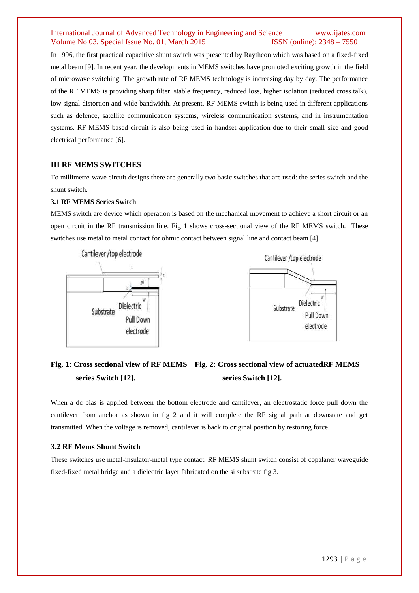## International Journal of Advanced Technology in Engineering and Science www.ijates.com Volume No 03, Special Issue No. 01, March 2015 ISSN (online): 2348 – 7550

In 1996, the first practical capacitive shunt switch was presented by Raytheon which was based on a fixed-fixed metal beam [9]. In recent year, the developments in MEMS switches have promoted exciting growth in the field of microwave switching. The growth rate of RF MEMS technology is increasing day by day. The performance of the RF MEMS is providing sharp filter, stable frequency, reduced loss, higher isolation (reduced cross talk), low signal distortion and wide bandwidth. At present, RF MEMS switch is being used in different applications such as defence, satellite communication systems, wireless communication systems, and in instrumentation systems. RF MEMS based circuit is also being used in handset application due to their small size and good electrical performance [6].

#### **III RF MEMS SWITCHES**

To millimetre-wave circuit designs there are generally two basic switches that are used: the series switch and the shunt switch.

#### **3.1 RF MEMS Series Switch**

MEMS switch are device which operation is based on the mechanical movement to achieve a short circuit or an open circuit in the RF transmission line. Fig 1 shows cross-sectional view of the RF MEMS switch. These switches use metal to metal contact for ohmic contact between signal line and contact beam [4].





# **Fig. 1: Cross sectional view of RF MEMS Fig. 2: Cross sectional view of actuatedRF MEMS series Switch [12]. series Switch [12].**

When a dc bias is applied between the bottom electrode and cantilever, an electrostatic force pull down the cantilever from anchor as shown in fig 2 and it will complete the RF signal path at downstate and get transmitted. When the voltage is removed, cantilever is back to original position by restoring force.

#### **3.2 RF Mems Shunt Switch**

These switches use metal-insulator-metal type contact. RF MEMS shunt switch consist of copalaner waveguide fixed-fixed metal bridge and a dielectric layer fabricated on the si substrate fig 3.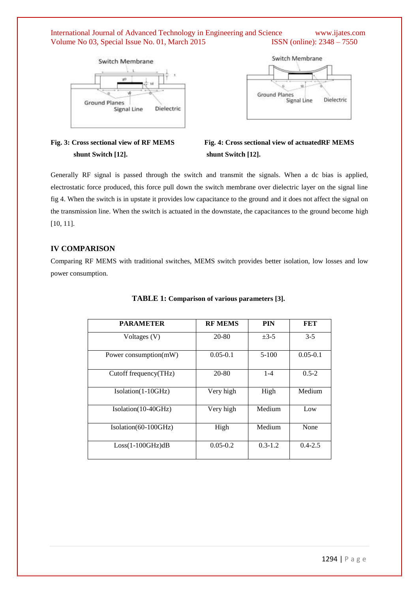# International Journal of Advanced Technology in Engineering and Science www.ijates.com Volume No 03, Special Issue No. 01, March 2015 ISSN (online): 2348 - 7550





# **shunt Switch [12]. shunt Switch [12].**

**Fig. 3: Cross sectional view of RF MEMS Fig. 4: Cross sectional view of actuatedRF MEMS** 

Generally RF signal is passed through the switch and transmit the signals. When a dc bias is applied, electrostatic force produced, this force pull down the switch membrane over dielectric layer on the signal line fig 4. When the switch is in upstate it provides low capacitance to the ground and it does not affect the signal on the transmission line. When the switch is actuated in the downstate, the capacitances to the ground become high [10, 11].

# **IV COMPARISON**

Comparing RF MEMS with traditional switches, MEMS switch provides better isolation, low losses and low power consumption.

| <b>PARAMETER</b>         | <b>RF MEMS</b> | <b>PIN</b>  | FET          |
|--------------------------|----------------|-------------|--------------|
| Voltages (V)             | 20-80          | $\pm$ 3-5   | $3 - 5$      |
| Power consumption(mW)    | $0.05 - 0.1$   | $5 - 100$   | $0.05 - 0.1$ |
| Cutoff frequency $(THz)$ | 20-80          | $1 - 4$     | $0.5 - 2$    |
| Isolation(1-10GHz)       | Very high      | High        | Medium       |
| $Isolation(10-40GHz)$    | Very high      | Medium      | Low          |
| Isolation(60-100GHz)     | High           | Medium      | None         |
| $Loss(1-100GHz)dB$       | $0.05 - 0.2$   | $0.3 - 1.2$ | $0.4 - 2.5$  |

#### **TABLE 1: Comparison of various parameters [3].**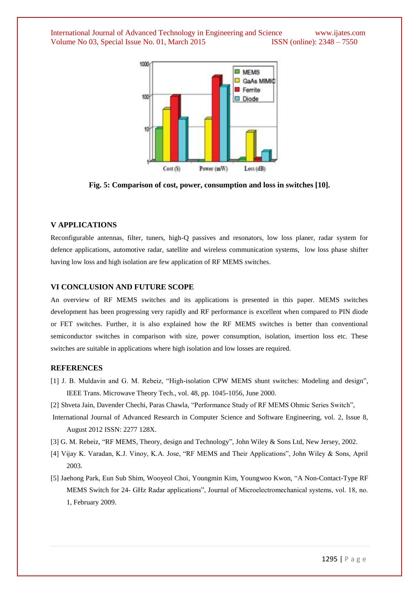International Journal of Advanced Technology in Engineering and Science www.ijates.com Volume No 03, Special Issue No. 01, March 2015 ISSN (online): 2348 – 7550



**Fig. 5: Comparison of cost, power, consumption and loss in switches [10].**

#### **V APPLICATIONS**

Reconfigurable antennas, filter, tuners, high-Q passives and resonators, low loss planer, radar system for defence applications, automotive radar, satellite and wireless communication systems, low loss phase shifter having low loss and high isolation are few application of RF MEMS switches.

#### **VI CONCLUSION AND FUTURE SCOPE**

An overview of RF MEMS switches and its applications is presented in this paper. MEMS switches development has been progressing very rapidly and RF performance is excellent when compared to PIN diode or FET switches. Further, it is also explained how the RF MEMS switches is better than conventional semiconductor switches in comparison with size, power consumption, isolation, insertion loss etc. These switches are suitable in applications where high isolation and low losses are required.

#### **REFERENCES**

- [1] J. B. Muldavin and G. M. Rebeiz, "High-isolation CPW MEMS shunt switches: Modeling and design", IEEE Trans. Microwave Theory Tech., vol. 48, pp. 1045-1056, June 2000.
- [2] Shveta Jain, Davender Chechi, Paras Chawla, "Performance Study of RF MEMS Ohmic Series Switch",
- International Journal of Advanced Research in Computer Science and Software Engineering, vol. 2, Issue 8, August 2012 ISSN: 2277 128X.
- [3] G. M. Rebeiz, "RF MEMS, Theory, design and Technology", John Wiley & Sons Ltd, New Jersey, 2002.
- [4] Vijay K. Varadan, K.J. Vinoy, K.A. Jose, "RF MEMS and Their Applications", John Wiley & Sons, April 2003.
- [5] Jaehong Park, Eun Sub Shim, Wooyeol Choi, Youngmin Kim, Youngwoo Kwon, "A Non-Contact-Type RF MEMS Switch for 24- GHz Radar applications", Journal of Microelectromechanical systems, vol. 18, no. 1, February 2009.